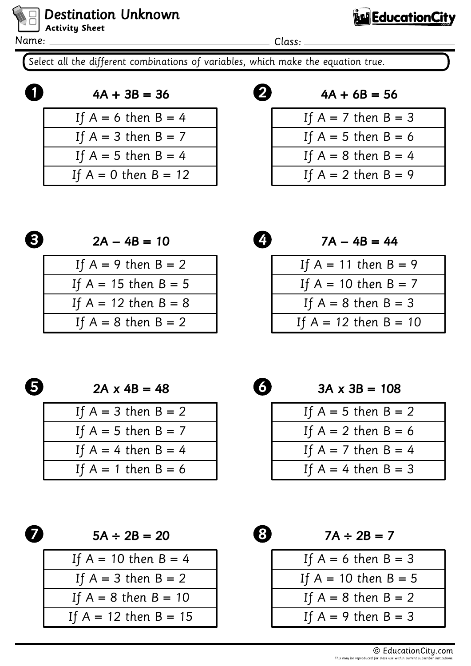Name:

**Destination Unknown** 

**Activity Sheet** 

Class:

0

Select all the different combinations of variables, which make the equation true.

$$
4A + 3B = 36
$$
  
If A = 6 then B = 4  
If A = 3 then B = 7  
If A = 5 then B = 4  
If A = 0 then B = 12

 $4A + 6B = 56$ 

**Education City** 

| If $A = 7$ then $B = 3$ |
|-------------------------|
| If $A = 5$ then $B = 6$ |
| If $A = 8$ then $B = 4$ |
| If $A = 2$ then $B = 9$ |

$$
\boldsymbol{\Theta}
$$

 $2A - 4B = 10$ 

| If $A = 9$ then $B = 2$  |  |
|--------------------------|--|
| If $A = 15$ then $B = 5$ |  |
| If $A = 12$ then $B = 8$ |  |
| If $A = 8$ then $B = 2$  |  |

4  $7A - 4B = 44$ If  $A = 11$  then  $B = 9$ If  $A = 10$  then  $B = 7$ If  $A = 8$  then  $B = 3$ If  $A = 12$  then  $B = 10$ 

0

 $2A \times 4B = 48$ 

| If $A = 3$ then $B = 2$ |
|-------------------------|
| If $A = 5$ then $B = 7$ |
| If $A = 4$ then $B = 4$ |
| If $A = 1$ then $B = 6$ |



 $5A \div 2B = 20$ 

| If $A = 10$ then $B = 4$  |  |
|---------------------------|--|
| If $A = 3$ then $B = 2$   |  |
| If $A = 8$ then $B = 10$  |  |
| If $A = 12$ then $B = 15$ |  |



 $3A \times 3B = 108$ 

| If $A = 5$ then $B = 2$ |
|-------------------------|
| If $A = 2$ then $B = 6$ |
| If $A = 7$ then $B = 4$ |
| If $A = 4$ then $B = 3$ |



 $7A \div 2B = 7$